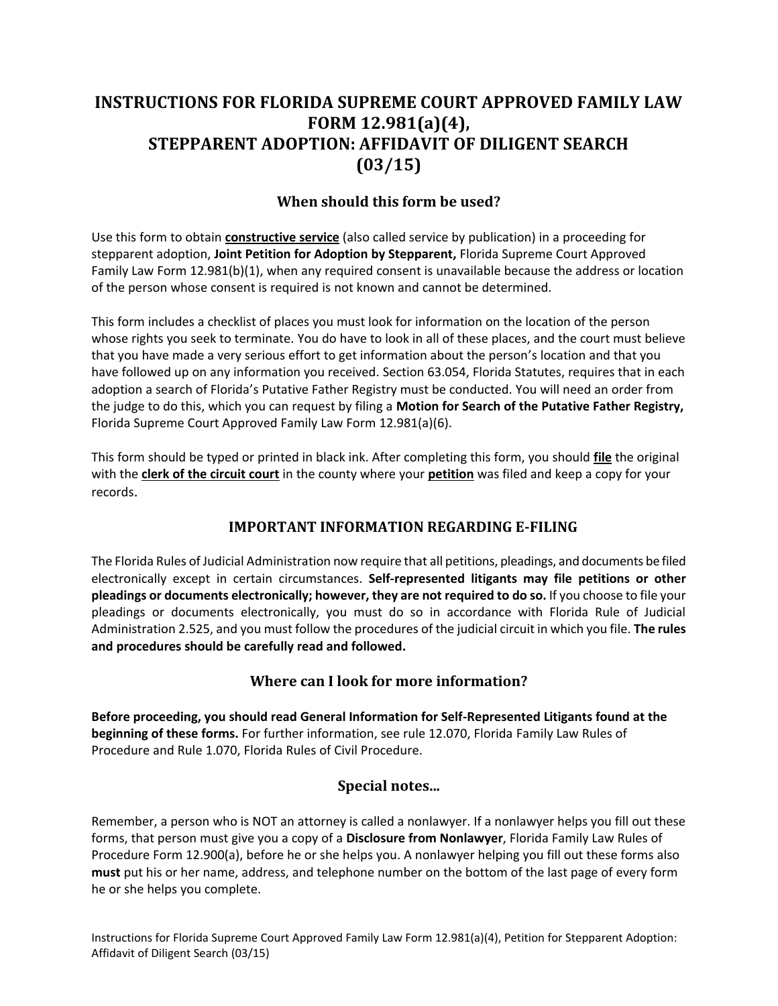# **INSTRUCTIONS FOR FLORIDA SUPREME COURT APPROVED FAMILY LAW FORM 12.981(a)(4), STEPPARENT ADOPTION: AFFIDAVIT OF DILIGENT SEARCH (03/15)**

## **When should this form be used?**

 Use this form to obtain **constructive service** (also called service by publication) in a proceeding for  stepparent adoption, **Joint Petition for Adoption by Stepparent,** Florida Supreme Court Approved Family Law Form 12.981(b)(1), when any required consent is unavailable because the address or location of the person whose consent is required is not known and cannot be determined.

 This form includes a checklist of places you must look for information on the location of the person whose rights you seek to terminate. You do have to look in all of these places, and the court must believe that you have made a very serious effort to get information about the person's location and that you have followed up on any information you received. Section 63.054, Florida Statutes, requires that in each adoption a search of Florida's Putative Father Registry must be conducted. You will need an order from the judge to do this, which you can request by filing a **Motion for Search of the Putative Father Registry,**  Florida Supreme Court Approved Family Law Form 12.981(a)(6).

 This form should be typed or printed in black ink. After completing this form, you should **file** the original  with the **clerk of the circuit court** in the county where your **petition** was filed and keep a copy for your records.

#### **IMPORTANT INFORMATION REGARDING E-FILING**

 The Florida Rules of Judicial Administration now require that all petitions, pleadings, and documents be filed electronically except in certain circumstances. **Self-represented litigants may file petitions or other pleadings or documents electronically; however, they are not required to do so.** If you choose to file your pleadings or documents electronically, you must do so in accordance with Florida Rule of Judicial Administration 2.525, and you must follow the procedures of the judicial circuit in which you file. **The rules and procedures should be carefully read and followed.** 

#### **Where can I look for more information?**

 **Before proceeding, you should read General Information for Self-Represented Litigants found at the beginning of these forms.** For further information, see rule 12.070, Florida Family Law Rules of Procedure and Rule 1.070, Florida Rules of Civil Procedure.

#### **Special notes...**

 Remember, a person who is NOT an attorney is called a nonlawyer. If a nonlawyer helps you fill out these forms, that person must give you a copy of a **Disclosure from Nonlawyer**, Florida Family Law Rules of Procedure Form 12.900(a), before he or she helps you. A nonlawyer helping you fill out these forms also **must** put his or her name, address, and telephone number on the bottom of the last page of every form he or she helps you complete.

 Affidavit of Diligent Search (03/15) Instructions for Florida Supreme Court Approved Family Law Form 12.981(a)(4), Petition for Stepparent Adoption: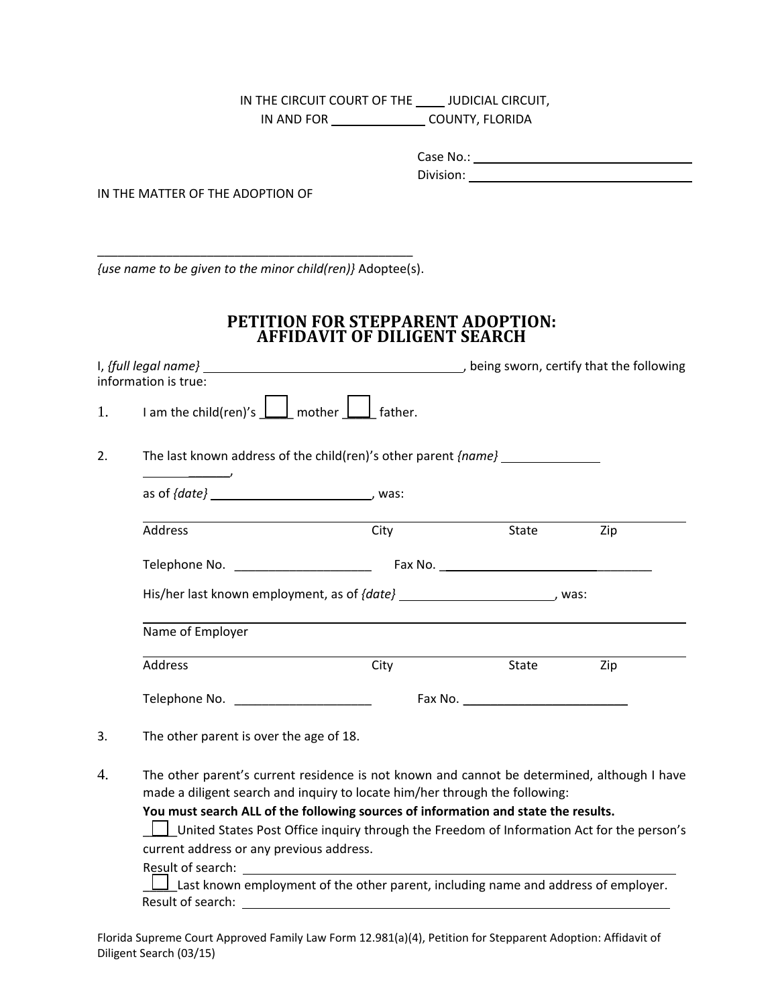IN THE CIRCUIT COURT OF THE \_\_\_\_\_ JUDICIAL CIRCUIT, IN AND FOR \_\_\_\_\_\_\_\_\_\_\_\_\_\_\_\_\_\_\_\_\_ COUNTY, FLORIDA

| Case No.: |  |
|-----------|--|
| Division: |  |

IN THE MATTER OF THE ADOPTION OF

 *{use name to be given to the minor child(ren)}* Adoptee(s). \_\_\_\_\_\_\_\_\_\_\_\_\_\_\_\_\_\_\_\_\_\_\_\_\_\_\_\_\_\_\_\_\_\_\_\_\_\_\_\_\_\_\_\_\_\_

### **PETITION FOR STEPPARENT ADOPTION: AFFIDAVIT OF DILIGENT SEARCH**

I, {full legal name} \_\_\_\_\_\_\_\_\_\_\_ information is true: 1. I am the child(ren)'s  $\bigsqcup$  mother  $\bigsqcup$  father. 2. The last known address of the child(ren)'s other parent *{name}*  as of *{date}* , was: Address Telephone No. \_\_\_\_\_\_\_\_\_\_\_\_\_\_\_\_\_\_\_\_ Fax No. \_\_\_\_\_\_\_\_\_\_\_\_\_\_\_\_\_\_\_\_\_\_\_\_\_\_\_\_\_\_\_ His/her last known employment, as of {date} \_\_\_\_\_\_\_\_\_\_\_\_\_\_\_\_\_\_\_\_\_\_\_\_\_\_, was: Name of Employer Address Telephone No. \_\_\_\_\_\_\_\_\_\_\_\_\_\_\_\_\_\_\_\_\_\_\_\_\_ Fax No. \_\_\_\_\_\_\_\_\_\_\_\_\_\_\_\_\_\_\_\_\_\_\_\_\_\_\_\_\_ 3. The other parent is over the age of 18. 4. The other parent's current residence is not known and cannot be determined, although I have  **You must search ALL of the following sources of information and state the results.**  \_\_\_\_\_United States Post Office inquiry through the Freedom of Information Act for the person's current address or any previous address. R<u>esu</u>lt of search: LI Last known employment of the other parent, including name and address of employer. **I,** *full legal name being sworn, certify that the following*  $\overline{\phantom{a}}$ City State Zip City State Zip made a diligent search and inquiry to locate him/her through the following: Result of search:  $\overline{a}$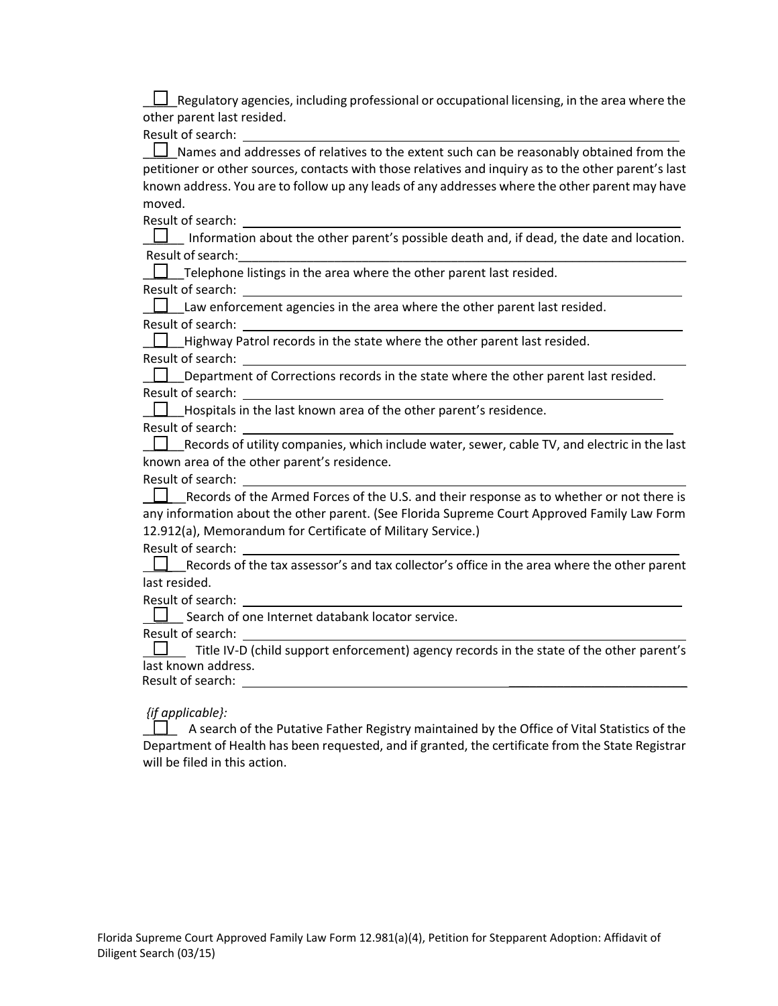$\perp$  Regulatory agencies, including professional or occupational licensing, in the area where the other parent last resided.

Result of search:

 $\Box$  Names and addresses of relatives to the extent such can be reasonably obtained from the petitioner or other sources, contacts with those relatives and inquiry as to the other parent's last known address. You are to follow up any leads of any addresses where the other parent may have moved.

Result of search:

 $\Box$  Information about the other parent's possible death and, if dead, the date and location. Result of search:

 $\Box$  Telephone listings in the area where the other parent last resided.

Result of search:

 $\Box$  Law enforcement agencies in the area where the other parent last resided. Result of search:

 $\Box$  Highway Patrol records in the state where the other parent last resided. Result of search:

 $\Box$  Department of Corrections records in the state where the other parent last resided.  $\overline{\phantom{0}}$ Result of search:

 $\Box$  Hospitals in the last known area of the other parent's residence.

Result of search:

 $\Box$  Records of utility companies, which include water, sewer, cable TV, and electric in the last known area of the other parent's residence.

Result of search:

 $\Box$  Records of the Armed Forces of the U.S. and their response as to whether or not there is any information about the other parent. (See Florida Supreme Court Approved Family Law Form 12.912(a), Memorandum for Certificate of Military Service.)

Result of search:

L last resided. \_\_\_Records of the tax assessor's and tax collector's office in the area where the other parent

Result of search:

 $\Box$  Search of one Internet databank locator service.

Result of search:

L last known address.  $\Box$  Title IV-D (child support enforcement) agency records in the state of the other parent's Result of search:

#### *{if applicable}:*

 $\Box$  A search of the Putative Father Registry maintained by the Office of Vital Statistics of the Department of Health has been requested, and if granted, the certificate from the State Registrar will be filed in this action.